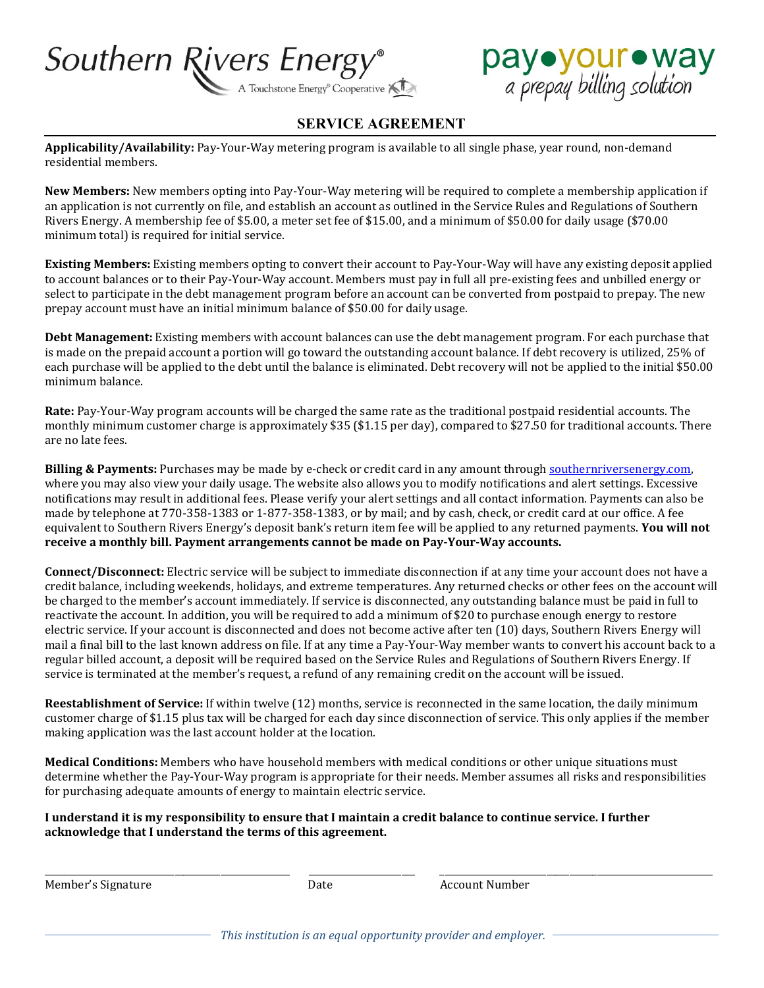



## **SERVICE AGREEMENT**

**Applicability/Availability:** Pay-Your-Way metering program is available to all single phase, year round, non-demand residential members.

**New Members:** New members opting into Pay-Your-Way metering will be required to complete a membership application if an application is not currently on file, and establish an account as outlined in the Service Rules and Regulations of Southern Rivers Energy. A membership fee of \$5.00, a meter set fee of \$15.00, and a minimum of \$50.00 for daily usage (\$70.00 minimum total) is required for initial service.

**Existing Members:** Existing members opting to convert their account to Pay-Your-Way will have any existing deposit applied to account balances or to their Pay-Your-Way account. Members must pay in full all pre-existing fees and unbilled energy or select to participate in the debt management program before an account can be converted from postpaid to prepay. The new prepay account must have an initial minimum balance of \$50.00 for daily usage.

**Debt Management:** Existing members with account balances can use the debt management program. For each purchase that is made on the prepaid account a portion will go toward the outstanding account balance. If debt recovery is utilized, 25% of each purchase will be applied to the debt until the balance is eliminated. Debt recovery will not be applied to the initial \$50.00 minimum balance.

**Rate:** Pay-Your-Way program accounts will be charged the same rate as the traditional postpaid residential accounts. The monthly minimum customer charge is approximately \$35 (\$1.15 per day), compared to \$27.50 for traditional accounts. There are no late fees.

**Billing & Payments:** Purchases may be made by e-check or credit card in any amount throug[h southernriversenergy.com,](http://www.southernriversenergy.com/) where you may also view your daily usage. The website also allows you to modify notifications and alert settings. Excessive notifications may result in additional fees. Please verify your alert settings and all contact information. Payments can also be made by telephone at 770-358-1383 or 1-877-358-1383, or by mail; and by cash, check, or credit card at our office. A fee equivalent to Southern Rivers Energy's deposit bank's return item fee will be applied to any returned payments. **You will not receive a monthly bill. Payment arrangements cannot be made on Pay-Your-Way accounts.**

**Connect/Disconnect:** Electric service will be subject to immediate disconnection if at any time your account does not have a credit balance, including weekends, holidays, and extreme temperatures. Any returned checks or other fees on the account will be charged to the member's account immediately. If service is disconnected, any outstanding balance must be paid in full to reactivate the account. In addition, you will be required to add a minimum of \$20 to purchase enough energy to restore electric service. If your account is disconnected and does not become active after ten (10) days, Southern Rivers Energy will mail a final bill to the last known address on file. If at any time a Pay-Your-Way member wants to convert his account back to a regular billed account, a deposit will be required based on the Service Rules and Regulations of Southern Rivers Energy. If service is terminated at the member's request, a refund of any remaining credit on the account will be issued.

**Reestablishment of Service:** If within twelve (12) months, service is reconnected in the same location, the daily minimum customer charge of \$1.15 plus tax will be charged for each day since disconnection of service. This only applies if the member making application was the last account holder at the location.

**Medical Conditions:** Members who have household members with medical conditions or other unique situations must determine whether the Pay-Your-Way program is appropriate for their needs. Member assumes all risks and responsibilities for purchasing adequate amounts of energy to maintain electric service.

**I understand it is my responsibility to ensure that I maintain a credit balance to continue service. I further acknowledge that I understand the terms of this agreement.**

Member's Signature The Count Number Account Number

\_\_\_\_\_\_\_\_\_\_\_\_\_\_\_\_\_\_\_\_\_\_\_\_\_\_\_\_\_\_\_\_\_\_\_\_\_\_\_\_\_\_\_\_\_\_\_\_\_\_\_\_\_ \_\_\_\_\_\_\_\_\_\_\_\_\_\_\_\_\_\_\_\_\_\_\_ \_\_\_\_\_\_\_\_\_\_\_\_\_\_\_\_\_\_\_\_\_\_\_\_\_\_\_\_\_\_\_\_\_\_\_\_\_\_\_\_\_\_\_\_\_\_\_\_\_\_\_\_\_\_\_\_\_\_\_

*This institution is an equal opportunity provider and employer.*